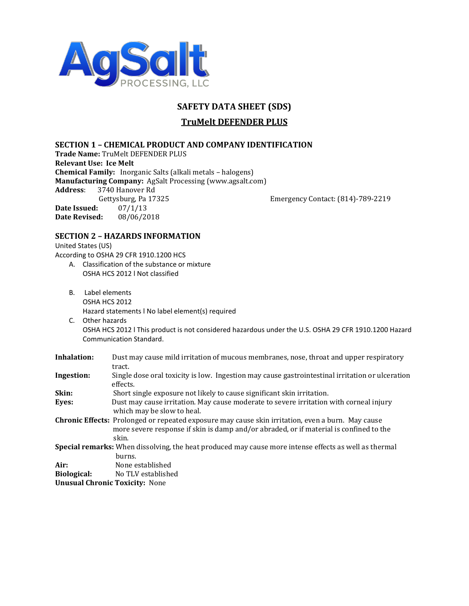

# **SAFETY DATA SHEET (SDS)**

# **TruMelt DEFENDER PLUS**

## **SECTION 1 – CHEMICAL PRODUCT AND COMPANY IDENTIFICATION**

**Trade Name:** TruMelt DEFENDER PLUS **Relevant Use: Ice Melt Chemical Family:** Inorganic Salts (alkali metals – halogens) **Manufacturing Company:** AgSalt Processing (www.agsalt.com) **Address**: 3740 Hanover Rd Gettysburg, Pa 17325 Emergency Contact: (814)-789-2219 **Date Issued:** 07/1/13 **Date Revised:** 08/06/2018

## **SECTION 2 – HAZARDS INFORMATION**

United States (US) According to OSHA 29 CFR 1910.1200 HCS

- A. Classification of the substance or mixture OSHA HCS 2012 l Not classified
- B. Label elements OSHA HCS 2012 Hazard statements l No label element(s) required
- C. Other hazards OSHA HCS 2012 l This product is not considered hazardous under the U.S. OSHA 29 CFR 1910.1200 Hazard Communication Standard.

| Inhalation:                           | Dust may cause mild irritation of mucous membranes, nose, throat and upper respiratory                                                                                                                      |
|---------------------------------------|-------------------------------------------------------------------------------------------------------------------------------------------------------------------------------------------------------------|
|                                       | tract.                                                                                                                                                                                                      |
| Ingestion:                            | Single dose oral toxicity is low. Ingestion may cause gastrointestinal irritation or ulceration<br>effects.                                                                                                 |
| Skin:                                 | Short single exposure not likely to cause significant skin irritation.                                                                                                                                      |
| Eyes:                                 | Dust may cause irritation. May cause moderate to severe irritation with corneal injury<br>which may be slow to heal.                                                                                        |
|                                       | <b>Chronic Effects:</b> Prolonged or repeated exposure may cause skin irritation, even a burn. May cause<br>more severe response if skin is damp and/or abraded, or if material is confined to the<br>skin. |
|                                       | <b>Special remarks:</b> When dissolving, the heat produced may cause more intense effects as well as thermal<br>burns.                                                                                      |
| Air:                                  | None established                                                                                                                                                                                            |
| Biological:                           | No TLV established                                                                                                                                                                                          |
| <b>Unusual Chronic Toxicity: None</b> |                                                                                                                                                                                                             |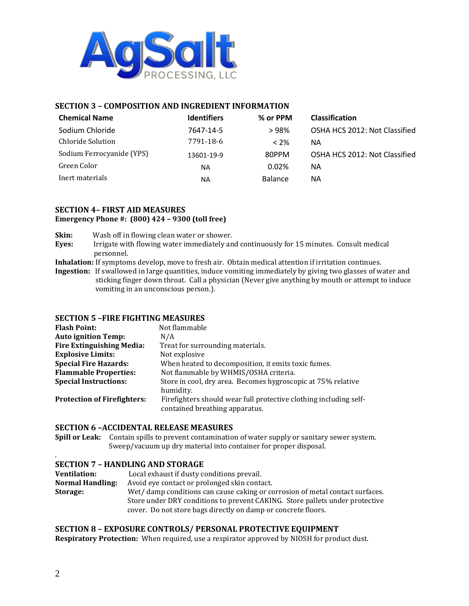

## **SECTION 3 – COMPOSITION AND INGREDIENT INFORMATION**

| <b>Chemical Name</b>      | <b>Identifiers</b> | % or PPM       | <b>Classification</b>         |
|---------------------------|--------------------|----------------|-------------------------------|
| Sodium Chloride           | 7647-14-5          | >98%           | OSHA HCS 2012: Not Classified |
| Chloride Solution         | 7791-18-6          | $<$ 2%         | ΝA                            |
| Sodium Ferrocyanide (YPS) | 13601-19-9         | 80PPM          | OSHA HCS 2012: Not Classified |
| Green Color               | <b>NA</b>          | 0.02%          | NА                            |
| Inert materials           | NA                 | <b>Balance</b> | ΝA                            |

#### **SECTION 4– FIRST AID MEASURES Emergency Phone #: (800) 424 – 9300 (toll free)**

**Skin:** Wash off in flowing clean water or shower.

- **Eyes:** Irrigate with flowing water immediately and continuously for 15 minutes. Consult medical personnel.
- **Inhalation:** If symptoms develop, move to fresh air. Obtain medical attention if irritation continues.
- **Ingestion:** If swallowed in large quantities, induce vomiting immediately by giving two glasses of water and sticking finger down throat. Call a physician (Never give anything by mouth or attempt to induce vomiting in an unconscious person.).

## **SECTION 5 –FIRE FIGHTING MEASURES**

| <b>Flash Point:</b>                | Not flammable                                                                                       |
|------------------------------------|-----------------------------------------------------------------------------------------------------|
| <b>Auto ignition Temp:</b>         | N/A                                                                                                 |
| <b>Fire Extinguishing Media:</b>   | Treat for surrounding materials.                                                                    |
| <b>Explosive Limits:</b>           | Not explosive                                                                                       |
| <b>Special Fire Hazards:</b>       | When heated to decomposition, it emits toxic fumes.                                                 |
| <b>Flammable Properties:</b>       | Not flammable by WHMIS/OSHA criteria.                                                               |
| <b>Special Instructions:</b>       | Store in cool, dry area. Becomes hygroscopic at 75% relative<br>humidity.                           |
| <b>Protection of Firefighters:</b> | Firefighters should wear full protective clothing including self-<br>contained breathing apparatus. |

#### **SECTION 6 –ACCIDENTAL RELEASE MEASURES**

**Spill or Leak:** Contain spills to prevent contamination of water supply or sanitary sewer system. Sweep/vacuum up dry material into container for proper disposal.

## **SECTION 7 – HANDLING AND STORAGE**

| <b>Ventilation:</b> | Local exhaust if dusty conditions prevail.                                   |
|---------------------|------------------------------------------------------------------------------|
| Normal Handling:    | Avoid eve contact or prolonged skin contact.                                 |
| <b>Storage:</b>     | Wet/damp conditions can cause caking or corrosion of metal contact surfaces. |
|                     | Store under DRY conditions to prevent CAKING. Store pallets under protective |
|                     | cover. Do not store bags directly on damp or concrete floors.                |
|                     |                                                                              |

## **SECTION 8 – EXPOSURE CONTROLS/ PERSONAL PROTECTIVE EQUIPMENT**

**Respiratory Protection:** When required, use a respirator approved by NIOSH for product dust.

.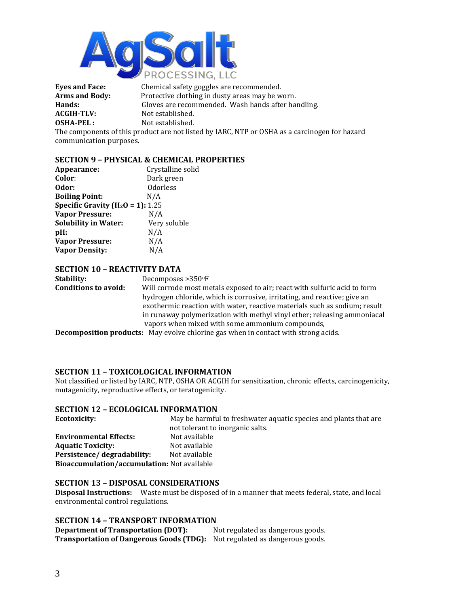

**Eyes and Face:** Chemical safety goggles are recommended. **Arms and Body:** Protective clothing in dusty areas may be worn. **Hands:** Gloves are recommended. Wash hands after handling. **ACGIH-TLV:** Not established.<br> **OSHA-PEL**: Not established. Not established.

The components of this product are not listed by IARC, NTP or OSHA as a carcinogen for hazard communication purposes.

## **SECTION 9 – PHYSICAL & CHEMICAL PROPERTIES**

| Appearance:                           | Crystalline solid |
|---------------------------------------|-------------------|
| Color:                                | Dark green        |
| Odor:                                 | <b>Odorless</b>   |
| <b>Boiling Point:</b>                 | N/A               |
| Specific Gravity ( $H_2O = 1$ ): 1.25 |                   |
| <b>Vapor Pressure:</b>                | N/A               |
| <b>Solubility in Water:</b>           | Very soluble      |
| pH:                                   | N/A               |
| <b>Vapor Pressure:</b>                | N/A               |
| <b>Vapor Density:</b>                 | N/A               |
|                                       |                   |

## **SECTION 10 – REACTIVITY DATA**

**Stability:** Decomposes > 350°F **Conditions to avoid:** Will corrode most metals exposed to air; react with sulfuric acid to form hydrogen chloride, which is corrosive, irritating, and reactive; give an exothermic reaction with water, reactive materials such as sodium; result in runaway polymerization with methyl vinyl ether; releasing ammoniacal vapors when mixed with some ammonium compounds,

**Decomposition products:** May evolve chlorine gas when in contact with strong acids.

## **SECTION 11 – TOXICOLOGICAL INFORMATION**

Not classified or listed by IARC, NTP, OSHA OR ACGIH for sensitization, chronic effects, carcinogenicity, mutagenicity, reproductive effects, or teratogenicity.

#### **SECTION 12 – ECOLOGICAL INFORMATION**

| <b>Ecotoxicity:</b>                         | May be harmful to freshwater aquatic species and plants that are |
|---------------------------------------------|------------------------------------------------------------------|
|                                             | not tolerant to inorganic salts.                                 |
| <b>Environmental Effects:</b>               | Not available                                                    |
| <b>Aquatic Toxicity:</b>                    | Not available                                                    |
| Persistence/degradability:                  | Not available                                                    |
| Bioaccumulation/accumulation: Not available |                                                                  |

#### **SECTION 13 – DISPOSAL CONSIDERATIONS**

**Disposal Instructions:** Waste must be disposed of in a manner that meets federal, state, and local environmental control regulations.

#### **SECTION 14 – TRANSPORT INFORMATION**

**Department of Transportation (DOT):** Not regulated as dangerous goods. **Transportation of Dangerous Goods (TDG):** Not regulated as dangerous goods.